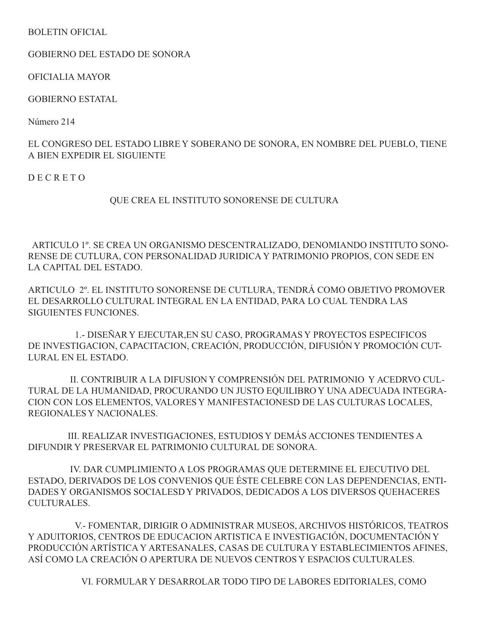## BOLETIN OFICIAL

GOBIERNO DEL ESTADO DE SONORA

OFICIALIA MAYOR

GOBIERNO ESTATAL

Número 214

EL CONGRESO DEL ESTADO LIBRE Y SOBERANO DE SONORA, EN NOMBRE DEL PUEBLO, TIENE A BIEN EXPEDIR EL SIGUIENTE

D E C R E T O

## QUE CREA EL INSTITUTO SONORENSE DE CULTURA

 ARTICULO 1º. SE CREA UN ORGANISMO DESCENTRALIZADO, DENOMIANDO INSTITUTO SONO-RENSE DE CUTLURA, CON PERSONALIDAD JURIDICA Y PATRIMONIO PROPIOS, CON SEDE EN LA CAPITAL DEL ESTADO.

ARTICULO 2º. EL INSTITUTO SONORENSE DE CUTLURA, TENDRÁ COMO OBJETIVO PROMOVER EL DESARROLLO CULTURAL INTEGRAL EN LA ENTIDAD, PARA LO CUAL TENDRA LAS SIGUIENTES FUNCIONES.

 1.- DISEÑAR Y EJECUTAR,EN SU CASO, PROGRAMAS Y PROYECTOS ESPECIFICOS DE INVESTIGACION, CAPACITACION, CREACIÓN, PRODUCCIÓN, DIFUSIÓN Y PROMOCIÓN CUT-LURAL EN EL ESTADO.

 II. CONTRIBUIR A LA DIFUSION Y COMPRENSIÓN DEL PATRIMONIO Y ACEDRVO CUL-TURAL DE LA HUMANIDAD, PROCURANDO UN JUSTO EQUILIBRO Y UNA ADECUADA INTEGRA-CION CON LOS ELEMENTOS, VALORES Y MANIFESTACIONESD DE LAS CULTURAS LOCALES, REGIONALES Y NACIONALES.

 III. REALIZAR INVESTIGACIONES, ESTUDIOS Y DEMÁS ACCIONES TENDIENTES A DIFUNDIR Y PRESERVAR EL PATRIMONIO CULTURAL DE SONORA.

 IV. DAR CUMPLIMIENTO A LOS PROGRAMAS QUE DETERMINE EL EJECUTIVO DEL ESTADO, DERIVADOS DE LOS CONVENIOS QUE ÉSTE CELEBRE CON LAS DEPENDENCIAS, ENTI-DADES Y ORGANISMOS SOCIALESD Y PRIVADOS, DEDICADOS A LOS DIVERSOS QUEHACERES CULTURALES.

 V.- FOMENTAR, DIRIGIR O ADMINISTRAR MUSEOS, ARCHIVOS HISTÓRICOS, TEATROS Y ADUITORIOS, CENTROS DE EDUCACION ARTISTICA E INVESTIGACIÓN, DOCUMENTACIÓN Y PRODUCCIÓN ARTÍSTICA Y ARTESANALES, CASAS DE CULTURA Y ESTABLECIMIENTOS AFINES, ASÍ COMO LA CREACIÓN O APERTURA DE NUEVOS CENTROS Y ESPACIOS CULTURALES.

VI. FORMULAR Y DESARROLAR TODO TIPO DE LABORES EDITORIALES, COMO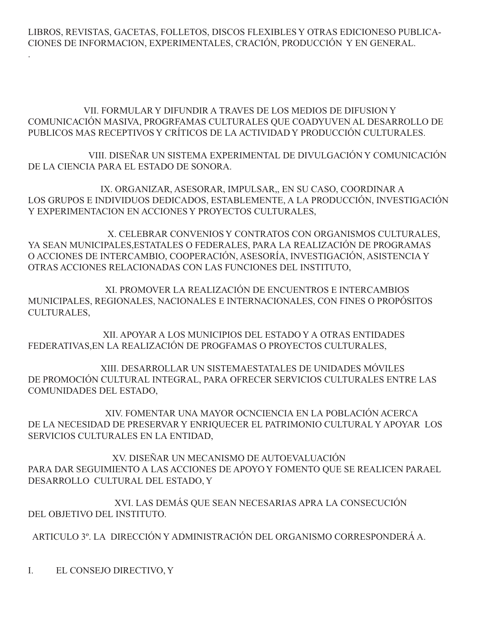LIBROS, REVISTAS, GACETAS, FOLLETOS, DISCOS FLEXIBLES Y OTRAS EDICIONESO PUBLICA-CIONES DE INFORMACION, EXPERIMENTALES, CRACIÓN, PRODUCCIÓN Y EN GENERAL.

 VII. FORMULAR Y DIFUNDIR A TRAVES DE LOS MEDIOS DE DIFUSION Y COMUNICACIÓN MASIVA, PROGRFAMAS CULTURALES QUE COADYUVEN AL DESARROLLO DE PUBLICOS MAS RECEPTIVOS Y CRÍTICOS DE LA ACTIVIDAD Y PRODUCCIÓN CULTURALES.

 VIII. DISEÑAR UN SISTEMA EXPERIMENTAL DE DIVULGACIÓN Y COMUNICACIÓN DE LA CIENCIA PARA EL ESTADO DE SONORA.

 IX. ORGANIZAR, ASESORAR, IMPULSAR,, EN SU CASO, COORDINAR A LOS GRUPOS E INDIVIDUOS DEDICADOS, ESTABLEMENTE, A LA PRODUCCIÓN, INVESTIGACIÓN Y EXPERIMENTACION EN ACCIONES Y PROYECTOS CULTURALES,

 X. CELEBRAR CONVENIOS Y CONTRATOS CON ORGANISMOS CULTURALES, YA SEAN MUNICIPALES,ESTATALES O FEDERALES, PARA LA REALIZACIÓN DE PROGRAMAS O ACCIONES DE INTERCAMBIO, COOPERACIÓN, ASESORÍA, INVESTIGACIÓN, ASISTENCIA Y OTRAS ACCIONES RELACIONADAS CON LAS FUNCIONES DEL INSTITUTO,

 XI. PROMOVER LA REALIZACIÓN DE ENCUENTROS E INTERCAMBIOS MUNICIPALES, REGIONALES, NACIONALES E INTERNACIONALES, CON FINES O PROPÓSITOS CULTURALES,

 XII. APOYAR A LOS MUNICIPIOS DEL ESTADO Y A OTRAS ENTIDADES FEDERATIVAS,EN LA REALIZACIÓN DE PROGFAMAS O PROYECTOS CULTURALES,

 XIII. DESARROLLAR UN SISTEMAESTATALES DE UNIDADES MÓVILES DE PROMOCIÓN CULTURAL INTEGRAL, PARA OFRECER SERVICIOS CULTURALES ENTRE LAS COMUNIDADES DEL ESTADO,

 XIV. FOMENTAR UNA MAYOR OCNCIENCIA EN LA POBLACIÓN ACERCA DE LA NECESIDAD DE PRESERVAR Y ENRIQUECER EL PATRIMONIO CULTURAL Y APOYAR LOS SERVICIOS CULTURALES EN LA ENTIDAD,

 XV. DISEÑAR UN MECANISMO DE AUTOEVALUACIÓN PARA DAR SEGUIMIENTO A LAS ACCIONES DE APOYO Y FOMENTO QUE SE REALICEN PARAEL DESARROLLO CULTURAL DEL ESTADO, Y

 XVI. LAS DEMÁS QUE SEAN NECESARIAS APRA LA CONSECUCIÓN DEL OBJETIVO DEL INSTITUTO.

ARTICULO 3º. LA DIRECCIÓN Y ADMINISTRACIÓN DEL ORGANISMO CORRESPONDERÁ A.

I. EL CONSEJO DIRECTIVO, Y

.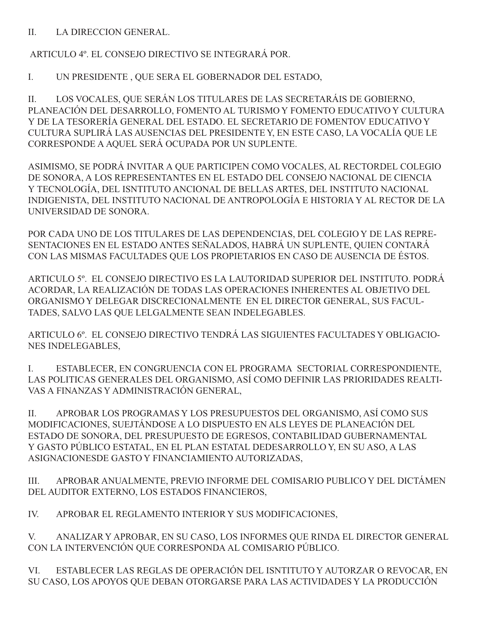II. LA DIRECCION GENERAL.

ARTICULO 4º. EL CONSEJO DIRECTIVO SE INTEGRARÁ POR.

I. UN PRESIDENTE , QUE SERA EL GOBERNADOR DEL ESTADO,

II. LOS VOCALES, QUE SERÁN LOS TITULARES DE LAS SECRETARÁIS DE GOBIERNO, PLANEACIÓN DEL DESARROLLO, FOMENTO AL TURISMO Y FOMENTO EDUCATIVO Y CULTURA Y DE LA TESORERÍA GENERAL DEL ESTADO. EL SECRETARIO DE FOMENTOV EDUCATIVO Y CULTURA SUPLIRÁ LAS AUSENCIAS DEL PRESIDENTE Y, EN ESTE CASO, LA VOCALÍA QUE LE CORRESPONDE A AQUEL SERÁ OCUPADA POR UN SUPLENTE.

ASIMISMO, SE PODRÁ INVITAR A QUE PARTICIPEN COMO VOCALES, AL RECTORDEL COLEGIO DE SONORA, A LOS REPRESENTANTES EN EL ESTADO DEL CONSEJO NACIONAL DE CIENCIA Y TECNOLOGÍA, DEL ISNTITUTO ANCIONAL DE BELLAS ARTES, DEL INSTITUTO NACIONAL INDIGENISTA, DEL INSTITUTO NACIONAL DE ANTROPOLOGÍA E HISTORIA Y AL RECTOR DE LA UNIVERSIDAD DE SONORA.

POR CADA UNO DE LOS TITULARES DE LAS DEPENDENCIAS, DEL COLEGIO Y DE LAS REPRE-SENTACIONES EN EL ESTADO ANTES SEÑALADOS, HABRÁ UN SUPLENTE, QUIEN CONTARÁ CON LAS MISMAS FACULTADES QUE LOS PROPIETARIOS EN CASO DE AUSENCIA DE ÉSTOS.

ARTICULO 5º. EL CONSEJO DIRECTIVO ES LA LAUTORIDAD SUPERIOR DEL INSTITUTO. PODRÁ ACORDAR, LA REALIZACIÓN DE TODAS LAS OPERACIONES INHERENTES AL OBJETIVO DEL ORGANISMO Y DELEGAR DISCRECIONALMENTE EN EL DIRECTOR GENERAL, SUS FACUL-TADES, SALVO LAS QUE LELGALMENTE SEAN INDELEGABLES.

ARTICULO 6º. EL CONSEJO DIRECTIVO TENDRÁ LAS SIGUIENTES FACULTADES Y OBLIGACIO-NES INDELEGABLES,

I. ESTABLECER, EN CONGRUENCIA CON EL PROGRAMA SECTORIAL CORRESPONDIENTE, LAS POLITICAS GENERALES DEL ORGANISMO, ASÍ COMO DEFINIR LAS PRIORIDADES REALTI-VAS A FINANZAS Y ADMINISTRACIÓN GENERAL,

II. APROBAR LOS PROGRAMAS Y LOS PRESUPUESTOS DEL ORGANISMO, ASÍ COMO SUS MODIFICACIONES, SUEJTÁNDOSE A LO DISPUESTO EN ALS LEYES DE PLANEACIÓN DEL ESTADO DE SONORA, DEL PRESUPUESTO DE EGRESOS, CONTABILIDAD GUBERNAMENTAL Y GASTO PÚBLICO ESTATAL, EN EL PLAN ESTATAL DEDESARROLLO Y, EN SU ASO, A LAS ASIGNACIONESDE GASTO Y FINANCIAMIENTO AUTORIZADAS,

III. APROBAR ANUALMENTE, PREVIO INFORME DEL COMISARIO PUBLICO Y DEL DICTÁMEN DEL AUDITOR EXTERNO, LOS ESTADOS FINANCIEROS,

IV. APROBAR EL REGLAMENTO INTERIOR Y SUS MODIFICACIONES,

V. ANALIZAR Y APROBAR, EN SU CASO, LOS INFORMES QUE RINDA EL DIRECTOR GENERAL CON LA INTERVENCIÓN QUE CORRESPONDA AL COMISARIO PÚBLICO.

VI. ESTABLECER LAS REGLAS DE OPERACIÓN DEL ISNTITUTO Y AUTORZAR O REVOCAR, EN SU CASO, LOS APOYOS QUE DEBAN OTORGARSE PARA LAS ACTIVIDADES Y LA PRODUCCIÓN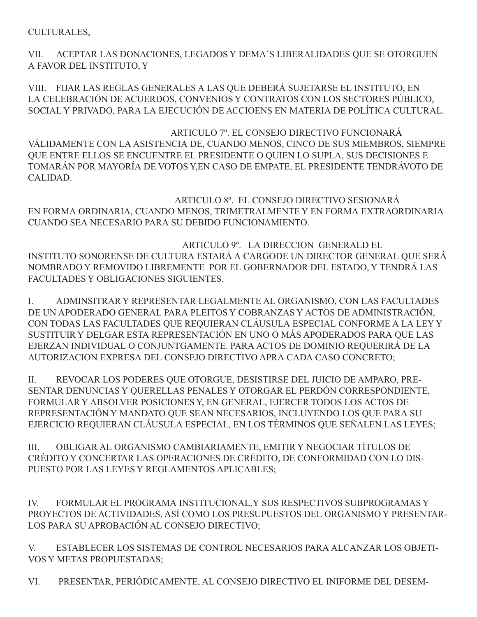CULTURALES,

VII. ACEPTAR LAS DONACIONES, LEGADOS Y DEMA´S LIBERALIDADES QUE SE OTORGUEN A FAVOR DEL INSTITUTO, Y

VIII. FIJAR LAS REGLAS GENERALES A LAS QUE DEBERÁ SUJETARSE EL INSTITUTO, EN LA CELEBRACIÓN DE ACUERDOS, CONVENIOS Y CONTRATOS CON LOS SECTORES PÚBLICO, SOCIAL Y PRIVADO, PARA LA EJECUCIÓN DE ACCIOENS EN MATERIA DE POLÍTICA CULTURAL.

 ARTICULO 7º. EL CONSEJO DIRECTIVO FUNCIONARÁ VÁLIDAMENTE CON LA ASISTENCIA DE, CUANDO MENOS, CINCO DE SUS MIEMBROS, SIEMPRE QUE ENTRE ELLOS SE ENCUENTRE EL PRESIDENTE O QUIEN LO SUPLA, SUS DECISIONES E TOMARÁN POR MAYORÍA DE VOTOS Y,EN CASO DE EMPATE, EL PRESIDENTE TENDRÁVOTO DE CALIDAD.

 ARTICULO 8º. EL CONSEJO DIRECTIVO SESIONARÁ EN FORMA ORDINARIA, CUANDO MENOS, TRIMETRALMENTE Y EN FORMA EXTRAORDINARIA CUANDO SEA NECESARIO PARA SU DEBIDO FUNCIONAMIENTO.

 ARTICULO 9º. LA DIRECCION GENERALD EL INSTITUTO SONORENSE DE CULTURA ESTARÁ A CARGODE UN DIRECTOR GENERAL QUE SERÁ NOMBRADO Y REMOVIDO LIBREMENTE POR EL GOBERNADOR DEL ESTADO, Y TENDRÁ LAS FACULTADES Y OBLIGACIONES SIGUIENTES.

I. ADMINSITRAR Y REPRESENTAR LEGALMENTE AL ORGANISMO, CON LAS FACULTADES DE UN APODERADO GENERAL PARA PLEITOS Y COBRANZAS Y ACTOS DE ADMINISTRACIÓN, CON TODAS LAS FACULTADES QUE REQUIERAN CLÁUSULA ESPECIAL CONFORME A LA LEY Y SUSTITUIR Y DELGAR ESTA REPRESENTACIÓN EN UNO O MÁS APODERADOS PARA QUE LAS EJERZAN INDIVIDUAL O CONJUNTGAMENTE. PARA ACTOS DE DOMINIO REQUERIRÁ DE LA AUTORIZACION EXPRESA DEL CONSEJO DIRECTIVO APRA CADA CASO CONCRETO;

II. REVOCAR LOS PODERES QUE OTORGUE, DESISTIRSE DEL JUICIO DE AMPARO, PRE-SENTAR DENUNCIAS Y QUERELLAS PENALES Y OTORGAR EL PERDÓN CORRESPONDIENTE, FORMULAR Y ABSOLVER POSICIONES Y, EN GENERAL, EJERCER TODOS LOS ACTOS DE REPRESENTACIÓN Y MANDATO QUE SEAN NECESARIOS, INCLUYENDO LOS QUE PARA SU EJERCICIO REQUIERAN CLÁUSULA ESPECIAL, EN LOS TÉRMINOS QUE SEÑALEN LAS LEYES;

III. OBLIGAR AL ORGANISMO CAMBIARIAMENTE, EMITIR Y NEGOCIAR TÍTULOS DE CRÉDITO Y CONCERTAR LAS OPERACIONES DE CRÉDITO, DE CONFORMIDAD CON LO DIS-PUESTO POR LAS LEYES Y REGLAMENTOS APLICABLES;

IV. FORMULAR EL PROGRAMA INSTITUCIONAL,Y SUS RESPECTIVOS SUBPROGRAMAS Y PROYECTOS DE ACTIVIDADES, ASÍ COMO LOS PRESUPUESTOS DEL ORGANISMO Y PRESENTAR-LOS PARA SU APROBACIÓN AL CONSEJO DIRECTIVO;

V. ESTABLECER LOS SISTEMAS DE CONTROL NECESARIOS PARA ALCANZAR LOS OBJETI-VOS Y METAS PROPUESTADAS;

VI. PRESENTAR, PERIÓDICAMENTE, AL CONSEJO DIRECTIVO EL INIFORME DEL DESEM-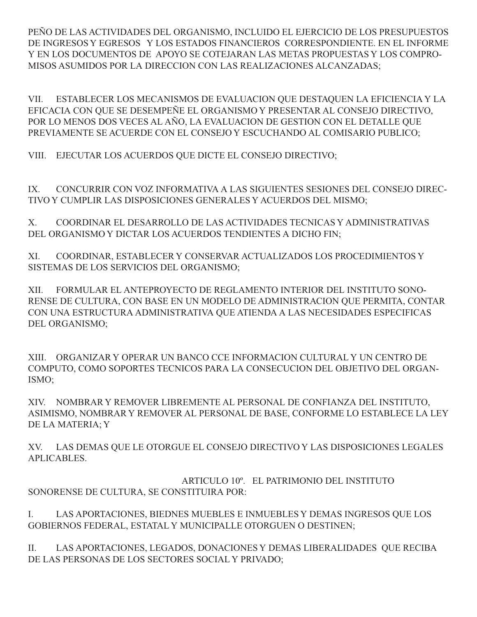PEÑO DE LAS ACTIVIDADES DEL ORGANISMO, INCLUIDO EL EJERCICIO DE LOS PRESUPUESTOS DE INGRESOS Y EGRESOS Y LOS ESTADOS FINANCIEROS CORRESPONDIENTE. EN EL INFORME Y EN LOS DOCUMENTOS DE APOYO SE COTEJARAN LAS METAS PROPUESTAS Y LOS COMPRO-MISOS ASUMIDOS POR LA DIRECCION CON LAS REALIZACIONES ALCANZADAS;

VII. ESTABLECER LOS MECANISMOS DE EVALUACION QUE DESTAQUEN LA EFICIENCIA Y LA EFICACIA CON QUE SE DESEMPEÑE EL ORGANISMO Y PRESENTAR AL CONSEJO DIRECTIVO, POR LO MENOS DOS VECES AL AÑO, LA EVALUACION DE GESTION CON EL DETALLE QUE PREVIAMENTE SE ACUERDE CON EL CONSEJO Y ESCUCHANDO AL COMISARIO PUBLICO;

VIII. EJECUTAR LOS ACUERDOS QUE DICTE EL CONSEJO DIRECTIVO;

IX. CONCURRIR CON VOZ INFORMATIVA A LAS SIGUIENTES SESIONES DEL CONSEJO DIREC-TIVO Y CUMPLIR LAS DISPOSICIONES GENERALES Y ACUERDOS DEL MISMO;

X. COORDINAR EL DESARROLLO DE LAS ACTIVIDADES TECNICAS Y ADMINISTRATIVAS DEL ORGANISMO Y DICTAR LOS ACUERDOS TENDIENTES A DICHO FIN;

XI. COORDINAR, ESTABLECER Y CONSERVAR ACTUALIZADOS LOS PROCEDIMIENTOS Y SISTEMAS DE LOS SERVICIOS DEL ORGANISMO;

XII. FORMULAR EL ANTEPROYECTO DE REGLAMENTO INTERIOR DEL INSTITUTO SONO-RENSE DE CULTURA, CON BASE EN UN MODELO DE ADMINISTRACION QUE PERMITA, CONTAR CON UNA ESTRUCTURA ADMINISTRATIVA QUE ATIENDA A LAS NECESIDADES ESPECIFICAS DEL ORGANISMO;

XIII. ORGANIZAR Y OPERAR UN BANCO CCE INFORMACION CULTURAL Y UN CENTRO DE COMPUTO, COMO SOPORTES TECNICOS PARA LA CONSECUCION DEL OBJETIVO DEL ORGAN-ISMO;

XIV. NOMBRAR Y REMOVER LIBREMENTE AL PERSONAL DE CONFIANZA DEL INSTITUTO, ASIMISMO, NOMBRAR Y REMOVER AL PERSONAL DE BASE, CONFORME LO ESTABLECE LA LEY DE LA MATERIA; Y

XV. LAS DEMAS QUE LE OTORGUE EL CONSEJO DIRECTIVO Y LAS DISPOSICIONES LEGALES APLICABLES.

 ARTICULO 10º. EL PATRIMONIO DEL INSTITUTO SONORENSE DE CULTURA, SE CONSTITUIRA POR:

I. LAS APORTACIONES, BIEDNES MUEBLES E INMUEBLES Y DEMAS INGRESOS QUE LOS GOBIERNOS FEDERAL, ESTATAL Y MUNICIPALLE OTORGUEN O DESTINEN;

II. LAS APORTACIONES, LEGADOS, DONACIONES Y DEMAS LIBERALIDADES QUE RECIBA DE LAS PERSONAS DE LOS SECTORES SOCIAL Y PRIVADO;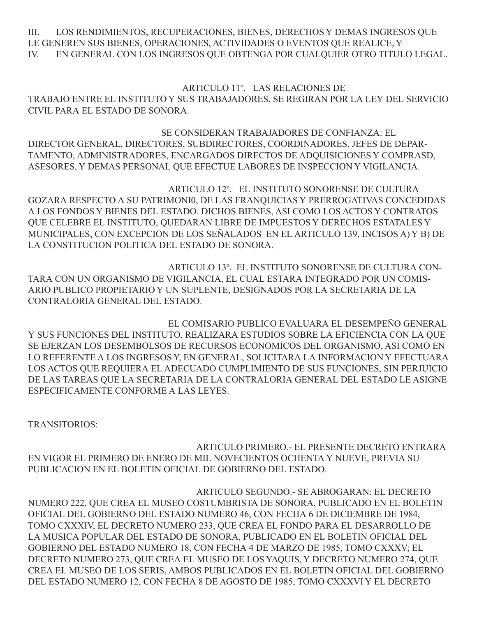III. LOS RENDIMIENTOS, RECUPERACIONES, BIENES, DERECHOS Y DEMAS INGRESOS QUE LE GENEREN SUS BIENES, OPERACIONES, ACTIVIDADES O EVENTOS QUE REALICE, Y IV. EN GENERAL CON LOS INGRESOS QUE OBTENGA POR CUALQUIER OTRO TITULO LEGAL.

 ARTICULO 11º. LAS RELACIONES DE TRABAJO ENTRE EL INSTITUTO Y SUS TRABAJADORES, SE REGIRAN POR LA LEY DEL SERVICIO CIVIL PARA EL ESTADO DE SONORA.

 SE CONSIDERAN TRABAJADORES DE CONFIANZA: EL DIRECTOR GENERAL, DIRECTORES, SUBDIRECTORES, COORDINADORES, JEFES DE DEPAR-TAMENTO, ADMINISTRADORES, ENCARGADOS DIRECTOS DE ADQUISICIONES Y COMPRASD, ASESORES, Y DEMAS PERSONAL QUE EFECTUE LABORES DE INSPECCION Y VIGILANCIA.

ARTICULO 12º. EL INSTITUTO SONORENSE DE CULTURA GOZARA RESPECTO A SU PATRIMONI0, DE LAS FRANQUICIAS Y PRERROGATIVAS CONCEDIDAS A LOS FONDOS Y BIENES DEL ESTADO. DICHOS BIENES, ASI COMO LOS ACTOS Y CONTRATOS QUE CELEBRE EL INSTITUTO, QUEDARAN LIBRE DE IMPUESTOS Y DERECHOS ESTATALES Y MUNICIPALES, CON EXCEPCION DE LOS SEÑALADOS EN EL ARTICULO 139, INCISOS A) Y B) DE LA CONSTITUCION POLITICA DEL ESTADO DE SONORA.

ARTICULO 13º. EL INSTITUTO SONORENSE DE CULTURA CON-TARA CON UN ORGANISMO DE VIGILANCIA, EL CUAL ESTARA INTEGRADO POR UN COMIS-ARIO PUBLICO PROPIETARIO Y UN SUPLENTE, DESIGNADOS POR LA SECRETARIA DE LA CONTRALORIA GENERAL DEL ESTADO.

EL COMISARIO PUBLICO EVALUARA EL DESEMPEÑO GENERAL Y SUS FUNCIONES DEL INSTITUTO, REALIZARA ESTUDIOS SOBRE LA EFICIENCIA CON LA QUE SE EJERZAN LOS DESEMBOLSOS DE RECURSOS ECONOMICOS DEL ORGANISMO, ASI COMO EN LO REFERENTE A LOS INGRESOS Y, EN GENERAL, SOLICITARA LA INFORMACION Y EFECTUARA LOS ACTOS QUE REQUIERA EL ADECUADO CUMPLIMIENTO DE SUS FUNCIONES, SIN PERJUICIO DE LAS TAREAS QUE LA SECRETARIA DE LA CONTRALORIA GENERAL DEL ESTADO LE ASIGNE ESPECIFICAMENTE CONFORME A LAS LEYES.

TRANSITORIOS:

ARTICULO PRIMERO.- EL PRESENTE DECRETO ENTRARA EN VIGOR EL PRIMERO DE ENERO DE MIL NOVECIENTOS OCHENTA Y NUEVE, PREVIA SU PUBLICACION EN EL BOLETIN OFICIAL DE GOBIERNO DEL ESTADO.

ARTICULO SEGUNDO.- SE ABROGARAN: EL DECRETO NUMERO 222, QUE CREA EL MUSEO COSTUMBRISTA DE SONORA, PUBLICADO EN EL BOLETIN OFICIAL DEL GOBIERNO DEL ESTADO NUMERO 46, CON FECHA 6 DE DICIEMBRE DE 1984, TOMO CXXXIV, EL DECRETO NUMERO 233, QUE CREA EL FONDO PARA EL DESARROLLO DE LA MUSICA POPULAR DEL ESTADO DE SONORA, PUBLICADO EN EL BOLETIN OFICIAL DEL GOBIERNO DEL ESTADO NUMERO 18, CON FECHA 4 DE MARZO DE 1985, TOMO CXXXV; EL DECRETO NUMERO 273, QUE CREA EL MUSEO DE LOS YAQUIS, Y DECRETO NUMERO 274, QUE CREA EL MUSEO DE LOS SERIS, AMBOS PUBLICADOS EN EL BOLETIN OFICIAL DEL GOBIERNO DEL ESTADO NUMERO 12, CON FECHA 8 DE AGOSTO DE 1985, TOMO CXXXVI Y EL DECRETO